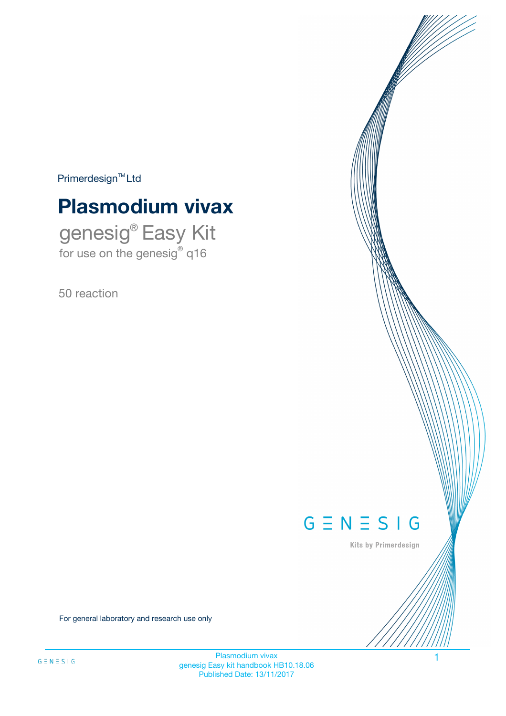$Primerdesign^{\text{TM}}Ltd$ 

# **Plasmodium vivax**

genesig® Easy Kit for use on the genesig® q16

50 reaction



Kits by Primerdesign

For general laboratory and research use only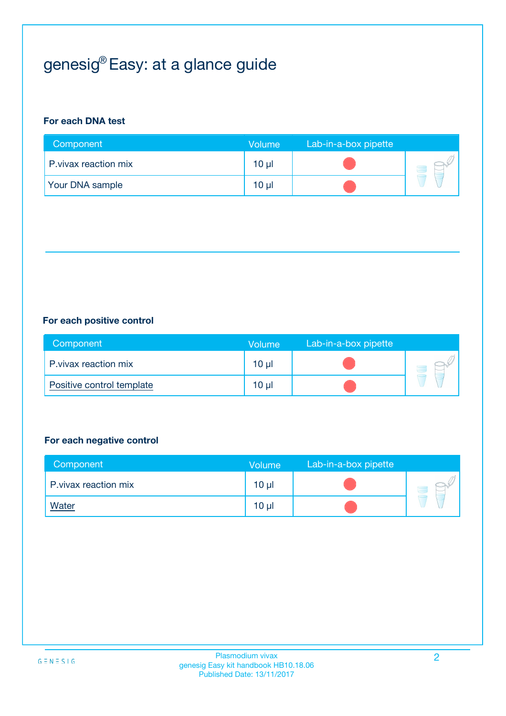# genesig® Easy: at a glance guide

## **For each DNA test**

| Component              | <b>Volume</b> | Lab-in-a-box pipette |  |
|------------------------|---------------|----------------------|--|
| P. vivax reaction mix  | 10 µl         |                      |  |
| <b>Your DNA sample</b> | $10 \mu$      |                      |  |

## **For each positive control**

| Component                 | Volume   | Lab-in-a-box pipette |  |
|---------------------------|----------|----------------------|--|
| P. vivax reaction mix     | $10 \mu$ |                      |  |
| Positive control template | $10 \mu$ |                      |  |

## **For each negative control**

| Component             | <b>Volume</b>   | Lab-in-a-box pipette |  |
|-----------------------|-----------------|----------------------|--|
| P. vivax reaction mix | 10 <sub>µ</sub> |                      |  |
| <u>Water</u>          | 10 <sub>µ</sub> |                      |  |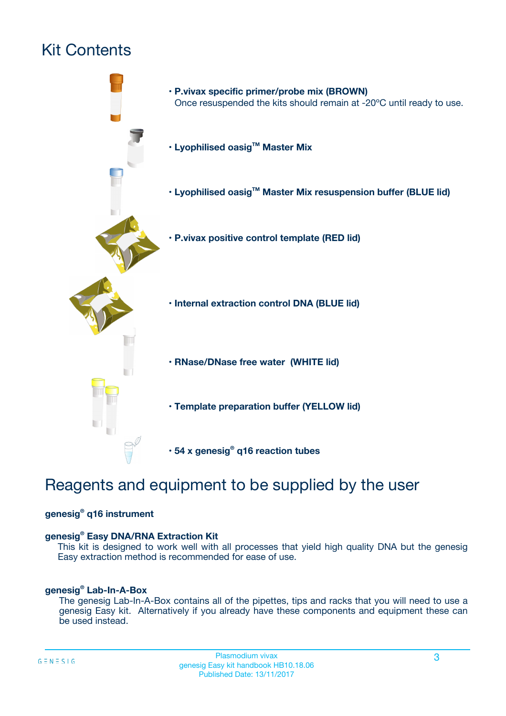## Kit Contents



## Reagents and equipment to be supplied by the user

## **genesig® q16 instrument**

### **genesig® Easy DNA/RNA Extraction Kit**

This kit is designed to work well with all processes that yield high quality DNA but the genesig Easy extraction method is recommended for ease of use.

### **genesig® Lab-In-A-Box**

The genesig Lab-In-A-Box contains all of the pipettes, tips and racks that you will need to use a genesig Easy kit. Alternatively if you already have these components and equipment these can be used instead.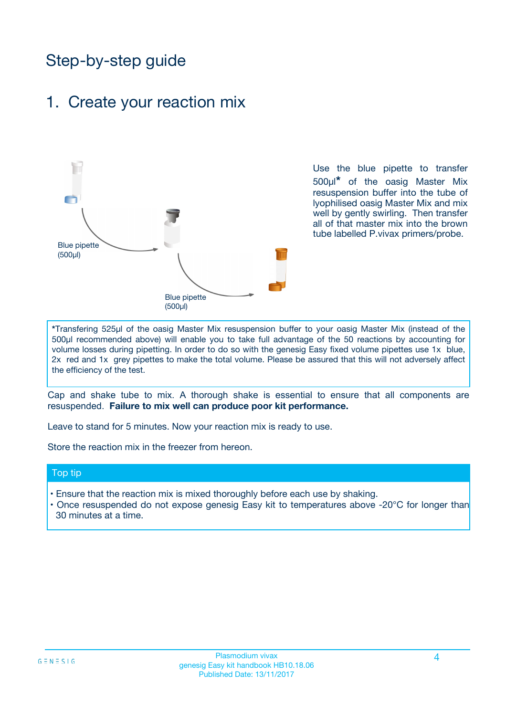## Step-by-step guide

## 1. Create your reaction mix



Use the blue pipette to transfer 500µl**\*** of the oasig Master Mix resuspension buffer into the tube of lyophilised oasig Master Mix and mix well by gently swirling. Then transfer all of that master mix into the brown tube labelled P.vivax primers/probe.

**\***Transfering 525µl of the oasig Master Mix resuspension buffer to your oasig Master Mix (instead of the 500µl recommended above) will enable you to take full advantage of the 50 reactions by accounting for volume losses during pipetting. In order to do so with the genesig Easy fixed volume pipettes use 1x blue, 2x red and 1x grey pipettes to make the total volume. Please be assured that this will not adversely affect the efficiency of the test.

Cap and shake tube to mix. A thorough shake is essential to ensure that all components are resuspended. **Failure to mix well can produce poor kit performance.**

Leave to stand for 5 minutes. Now your reaction mix is ready to use.

Store the reaction mix in the freezer from hereon.

### Top tip

- Ensure that the reaction mix is mixed thoroughly before each use by shaking.
- Once resuspended do not expose genesig Easy kit to temperatures above -20°C for longer than 30 minutes at a time.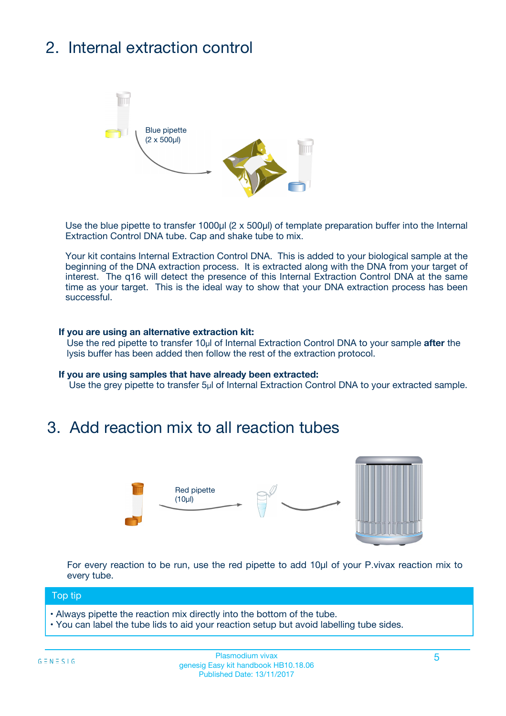# 2. Internal extraction control



Use the blue pipette to transfer 1000µl (2 x 500µl) of template preparation buffer into the Internal Extraction Control DNA tube. Cap and shake tube to mix.

Your kit contains Internal Extraction Control DNA. This is added to your biological sample at the beginning of the DNA extraction process. It is extracted along with the DNA from your target of interest. The q16 will detect the presence of this Internal Extraction Control DNA at the same time as your target. This is the ideal way to show that your DNA extraction process has been successful.

### **If you are using an alternative extraction kit:**

Use the red pipette to transfer 10µl of Internal Extraction Control DNA to your sample **after** the lysis buffer has been added then follow the rest of the extraction protocol.

#### **If you are using samples that have already been extracted:**

Use the grey pipette to transfer 5µl of Internal Extraction Control DNA to your extracted sample.

## 3. Add reaction mix to all reaction tubes



For every reaction to be run, use the red pipette to add 10µl of your P.vivax reaction mix to every tube.

### Top tip

- Always pipette the reaction mix directly into the bottom of the tube.
- You can label the tube lids to aid your reaction setup but avoid labelling tube sides.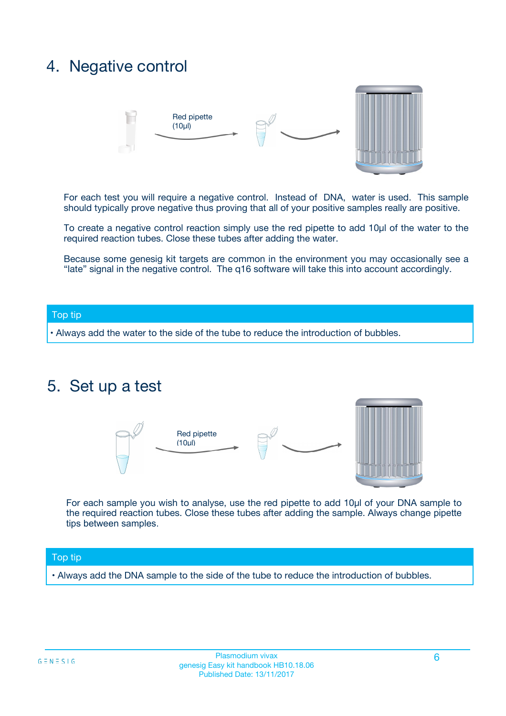## 4. Negative control



For each test you will require a negative control. Instead of DNA, water is used. This sample should typically prove negative thus proving that all of your positive samples really are positive.

To create a negative control reaction simply use the red pipette to add 10µl of the water to the required reaction tubes. Close these tubes after adding the water.

Because some genesig kit targets are common in the environment you may occasionally see a "late" signal in the negative control. The q16 software will take this into account accordingly.

### Top tip

**•** Always add the water to the side of the tube to reduce the introduction of bubbles.

## 5. Set up a test



For each sample you wish to analyse, use the red pipette to add 10µl of your DNA sample to the required reaction tubes. Close these tubes after adding the sample. Always change pipette tips between samples.

### Top tip

**•** Always add the DNA sample to the side of the tube to reduce the introduction of bubbles.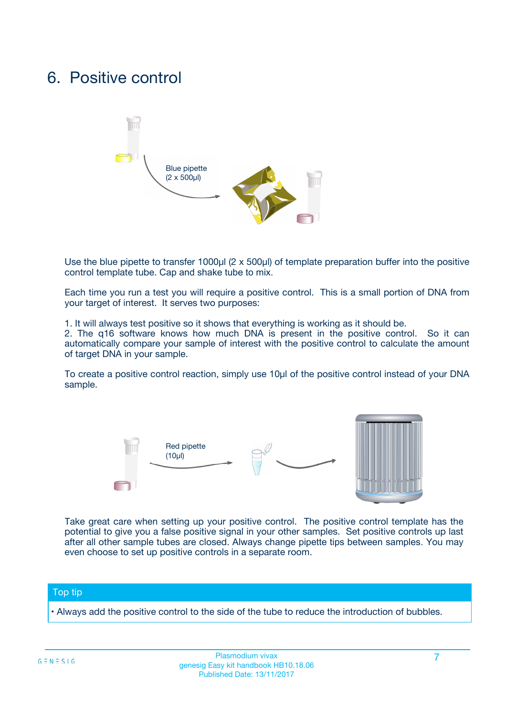## 6. Positive control



Use the blue pipette to transfer 1000µl (2 x 500µl) of template preparation buffer into the positive control template tube. Cap and shake tube to mix.

Each time you run a test you will require a positive control. This is a small portion of DNA from your target of interest. It serves two purposes:

1. It will always test positive so it shows that everything is working as it should be.

2. The q16 software knows how much DNA is present in the positive control. So it can automatically compare your sample of interest with the positive control to calculate the amount of target DNA in your sample.

To create a positive control reaction, simply use 10µl of the positive control instead of your DNA sample.



Take great care when setting up your positive control. The positive control template has the potential to give you a false positive signal in your other samples. Set positive controls up last after all other sample tubes are closed. Always change pipette tips between samples. You may even choose to set up positive controls in a separate room.

### Top tip

**•** Always add the positive control to the side of the tube to reduce the introduction of bubbles.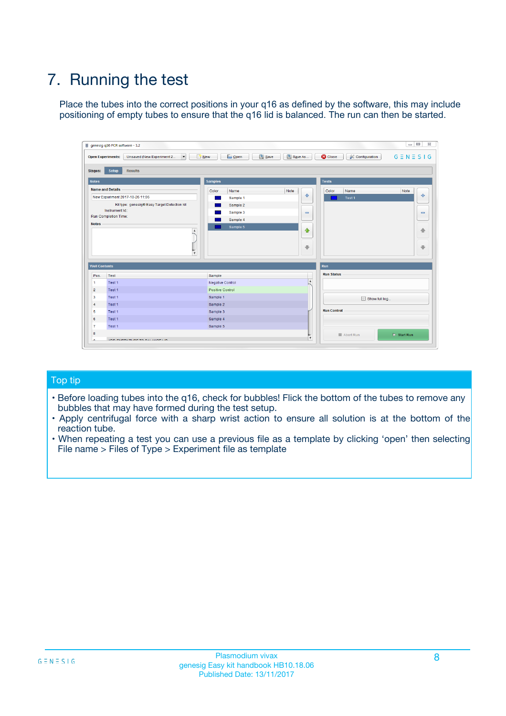# 7. Running the test

Place the tubes into the correct positions in your q16 as defined by the software, this may include positioning of empty tubes to ensure that the q16 lid is balanced. The run can then be started.

| genesig q16 PCR software - 1.2                                                    |                                            |                              |                                          | $\Box$ $\Box$<br>$\Sigma\!3$ |
|-----------------------------------------------------------------------------------|--------------------------------------------|------------------------------|------------------------------------------|------------------------------|
| $\overline{\phantom{a}}$<br><b>Open Experiments:</b><br>Unsaved (New Experiment 2 | <b>D</b> Open<br>Save<br>$\frac{1}{2}$ New | Save As                      | <b>C</b> Close<br><b>X</b> Configuration | $G \equiv N \equiv S \mid G$ |
| <b>Setup</b><br><b>Results</b><br><b>Stages:</b>                                  |                                            |                              |                                          |                              |
| <b>Notes</b>                                                                      | <b>Samples</b>                             |                              | <b>Tests</b>                             |                              |
| <b>Name and Details</b>                                                           | Color<br>Name                              | Note                         | Name<br>Color                            | Note                         |
| New Experiment 2017-10-26 11:06                                                   | Sample 1                                   | 좋                            | Test <sub>1</sub>                        | علي                          |
| Kit type: genesig® Easy Target Detection kit                                      | Sample 2                                   |                              |                                          |                              |
| Instrument Id.:                                                                   | Sample 3                                   | $\qquad \qquad \blacksquare$ |                                          | $\qquad \qquad \blacksquare$ |
| <b>Run Completion Time:</b>                                                       | Sample 4                                   |                              |                                          |                              |
| <b>Notes</b><br>$\blacktriangle$<br>$\overline{\mathbf{v}}$                       | Sample 5                                   | $\triangle$<br>⊕             |                                          | ♠<br>⊕                       |
| <b>Well Contents</b>                                                              |                                            | <b>Run</b>                   |                                          |                              |
| Pos.<br>Test                                                                      | Sample                                     |                              | <b>Run Status</b>                        |                              |
| $\overline{1}$<br>Test 1                                                          | <b>Negative Control</b>                    | $\overline{\phantom{a}}$     |                                          |                              |
| $\overline{2}$<br>Test 1                                                          | Positive Control                           |                              |                                          |                              |
| 3<br>Test 1                                                                       | Sample 1                                   |                              | Show full log                            |                              |
| Test 1<br>$\overline{4}$                                                          | Sample 2                                   |                              |                                          |                              |
| 5<br>Test 1                                                                       | Sample 3                                   |                              | <b>Run Control</b>                       |                              |
| 6<br>Test 1                                                                       | Sample 4                                   |                              |                                          |                              |
| $\overline{7}$<br>Test 1                                                          | Sample 5                                   |                              |                                          |                              |
| 8                                                                                 |                                            |                              | Abort Run                                | $\triangleright$ Start Run   |
| <b>JOD FURTY TUDE TO BUILDED IN</b><br>$\sim$                                     |                                            | v                            |                                          |                              |

## Top tip

- Before loading tubes into the q16, check for bubbles! Flick the bottom of the tubes to remove any bubbles that may have formed during the test setup.
- Apply centrifugal force with a sharp wrist action to ensure all solution is at the bottom of the reaction tube.
- When repeating a test you can use a previous file as a template by clicking 'open' then selecting File name > Files of Type > Experiment file as template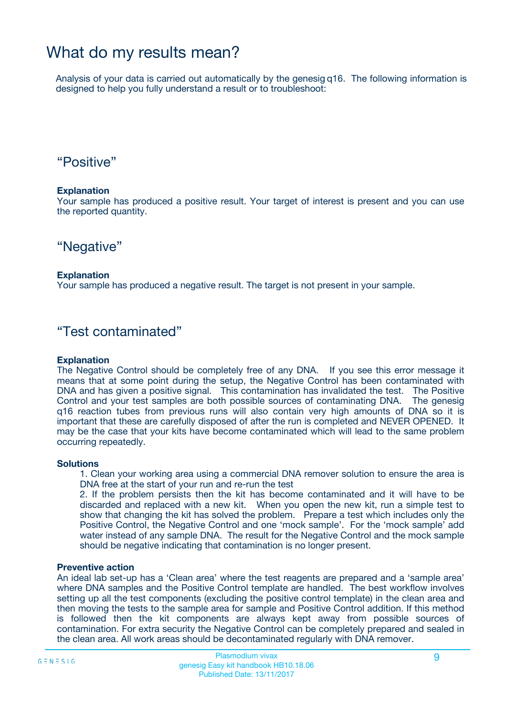## What do my results mean?

Analysis of your data is carried out automatically by the genesig q16. The following information is designed to help you fully understand a result or to troubleshoot:

## "Positive"

### **Explanation**

Your sample has produced a positive result. Your target of interest is present and you can use the reported quantity.

## "Negative"

### **Explanation**

Your sample has produced a negative result. The target is not present in your sample.

## "Test contaminated"

### **Explanation**

The Negative Control should be completely free of any DNA. If you see this error message it means that at some point during the setup, the Negative Control has been contaminated with DNA and has given a positive signal. This contamination has invalidated the test. The Positive Control and your test samples are both possible sources of contaminating DNA. The genesig q16 reaction tubes from previous runs will also contain very high amounts of DNA so it is important that these are carefully disposed of after the run is completed and NEVER OPENED. It may be the case that your kits have become contaminated which will lead to the same problem occurring repeatedly.

### **Solutions**

1. Clean your working area using a commercial DNA remover solution to ensure the area is DNA free at the start of your run and re-run the test

2. If the problem persists then the kit has become contaminated and it will have to be discarded and replaced with a new kit. When you open the new kit, run a simple test to show that changing the kit has solved the problem. Prepare a test which includes only the Positive Control, the Negative Control and one 'mock sample'. For the 'mock sample' add water instead of any sample DNA. The result for the Negative Control and the mock sample should be negative indicating that contamination is no longer present.

### **Preventive action**

An ideal lab set-up has a 'Clean area' where the test reagents are prepared and a 'sample area' where DNA samples and the Positive Control template are handled. The best workflow involves setting up all the test components (excluding the positive control template) in the clean area and then moving the tests to the sample area for sample and Positive Control addition. If this method is followed then the kit components are always kept away from possible sources of contamination. For extra security the Negative Control can be completely prepared and sealed in the clean area. All work areas should be decontaminated regularly with DNA remover.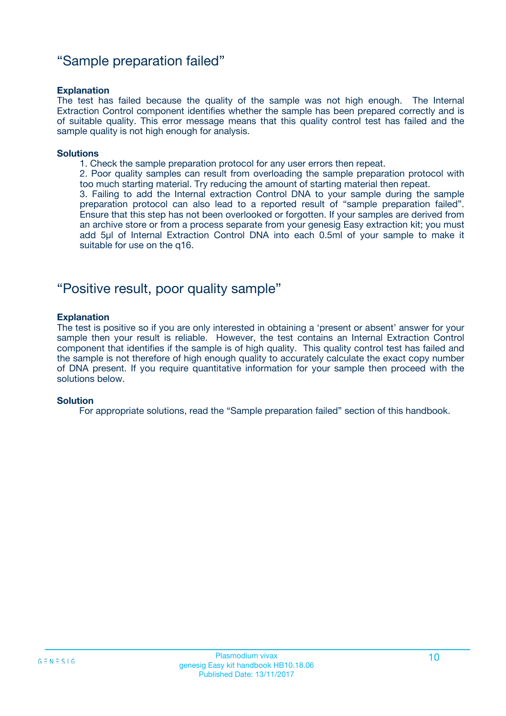## "Sample preparation failed"

### **Explanation**

The test has failed because the quality of the sample was not high enough. The Internal Extraction Control component identifies whether the sample has been prepared correctly and is of suitable quality. This error message means that this quality control test has failed and the sample quality is not high enough for analysis.

#### **Solutions**

1. Check the sample preparation protocol for any user errors then repeat.

2. Poor quality samples can result from overloading the sample preparation protocol with too much starting material. Try reducing the amount of starting material then repeat.

3. Failing to add the Internal extraction Control DNA to your sample during the sample preparation protocol can also lead to a reported result of "sample preparation failed". Ensure that this step has not been overlooked or forgotten. If your samples are derived from an archive store or from a process separate from your genesig Easy extraction kit; you must add 5µl of Internal Extraction Control DNA into each 0.5ml of your sample to make it suitable for use on the q16.

## "Positive result, poor quality sample"

### **Explanation**

The test is positive so if you are only interested in obtaining a 'present or absent' answer for your sample then your result is reliable. However, the test contains an Internal Extraction Control component that identifies if the sample is of high quality. This quality control test has failed and the sample is not therefore of high enough quality to accurately calculate the exact copy number of DNA present. If you require quantitative information for your sample then proceed with the solutions below.

### **Solution**

For appropriate solutions, read the "Sample preparation failed" section of this handbook.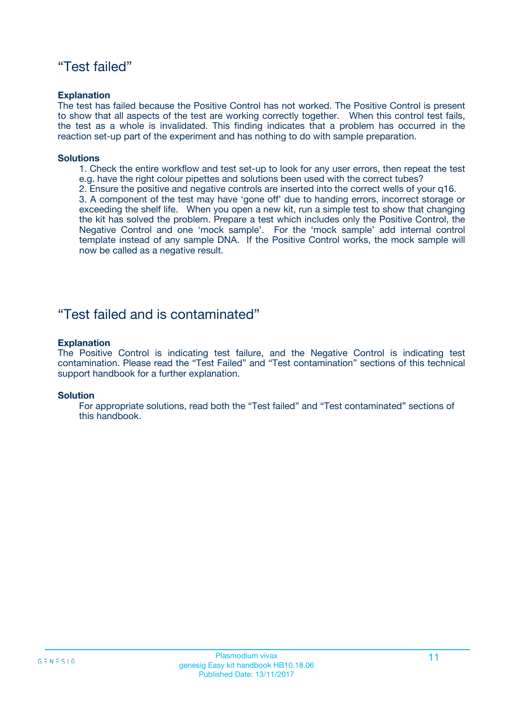## "Test failed"

### **Explanation**

The test has failed because the Positive Control has not worked. The Positive Control is present to show that all aspects of the test are working correctly together. When this control test fails, the test as a whole is invalidated. This finding indicates that a problem has occurred in the reaction set-up part of the experiment and has nothing to do with sample preparation.

### **Solutions**

- 1. Check the entire workflow and test set-up to look for any user errors, then repeat the test e.g. have the right colour pipettes and solutions been used with the correct tubes?
- 2. Ensure the positive and negative controls are inserted into the correct wells of your q16.

3. A component of the test may have 'gone off' due to handing errors, incorrect storage or exceeding the shelf life. When you open a new kit, run a simple test to show that changing the kit has solved the problem. Prepare a test which includes only the Positive Control, the Negative Control and one 'mock sample'. For the 'mock sample' add internal control template instead of any sample DNA. If the Positive Control works, the mock sample will now be called as a negative result.

## "Test failed and is contaminated"

### **Explanation**

The Positive Control is indicating test failure, and the Negative Control is indicating test contamination. Please read the "Test Failed" and "Test contamination" sections of this technical support handbook for a further explanation.

### **Solution**

For appropriate solutions, read both the "Test failed" and "Test contaminated" sections of this handbook.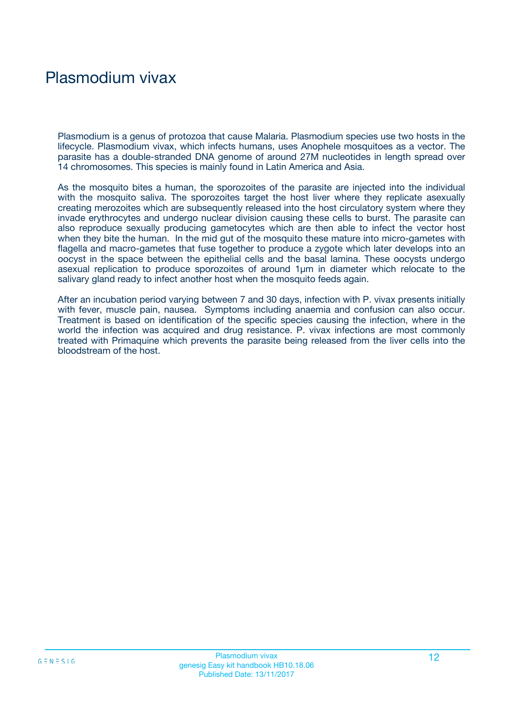## Plasmodium vivax

Plasmodium is a genus of protozoa that cause Malaria. Plasmodium species use two hosts in the lifecycle. Plasmodium vivax, which infects humans, uses Anophele mosquitoes as a vector. The parasite has a double-stranded DNA genome of around 27M nucleotides in length spread over 14 chromosomes. This species is mainly found in Latin America and Asia.

As the mosquito bites a human, the sporozoites of the parasite are injected into the individual with the mosquito saliva. The sporozoites target the host liver where they replicate asexually creating merozoites which are subsequently released into the host circulatory system where they invade erythrocytes and undergo nuclear division causing these cells to burst. The parasite can also reproduce sexually producing gametocytes which are then able to infect the vector host when they bite the human. In the mid gut of the mosquito these mature into micro-gametes with flagella and macro-gametes that fuse together to produce a zygote which later develops into an oocyst in the space between the epithelial cells and the basal lamina. These oocysts undergo asexual replication to produce sporozoites of around 1µm in diameter which relocate to the salivary gland ready to infect another host when the mosquito feeds again.

After an incubation period varying between 7 and 30 days, infection with P. vivax presents initially with fever, muscle pain, nausea. Symptoms including anaemia and confusion can also occur. Treatment is based on identification of the specific species causing the infection, where in the world the infection was acquired and drug resistance. P. vivax infections are most commonly treated with Primaquine which prevents the parasite being released from the liver cells into the bloodstream of the host.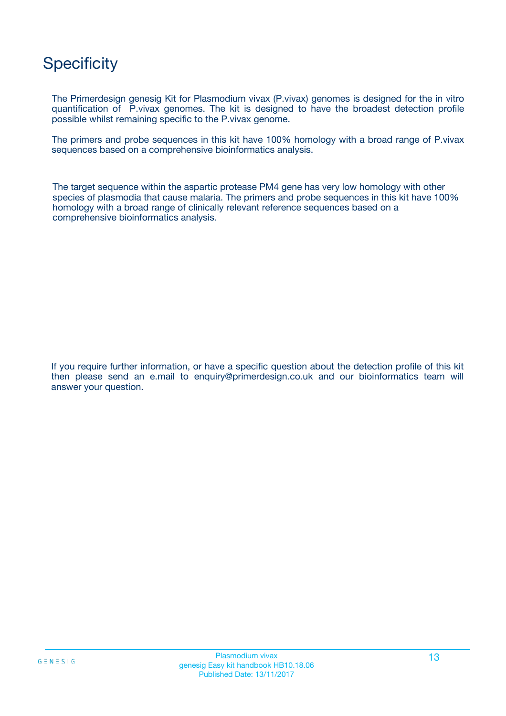## **Specificity**

The Primerdesign genesig Kit for Plasmodium vivax (P.vivax) genomes is designed for the in vitro quantification of P.vivax genomes. The kit is designed to have the broadest detection profile possible whilst remaining specific to the P.vivax genome.

The primers and probe sequences in this kit have 100% homology with a broad range of P.vivax sequences based on a comprehensive bioinformatics analysis.

The target sequence within the aspartic protease PM4 gene has very low homology with other species of plasmodia that cause malaria. The primers and probe sequences in this kit have 100% homology with a broad range of clinically relevant reference sequences based on a comprehensive bioinformatics analysis.

If you require further information, or have a specific question about the detection profile of this kit then please send an e.mail to enquiry@primerdesign.co.uk and our bioinformatics team will answer your question.